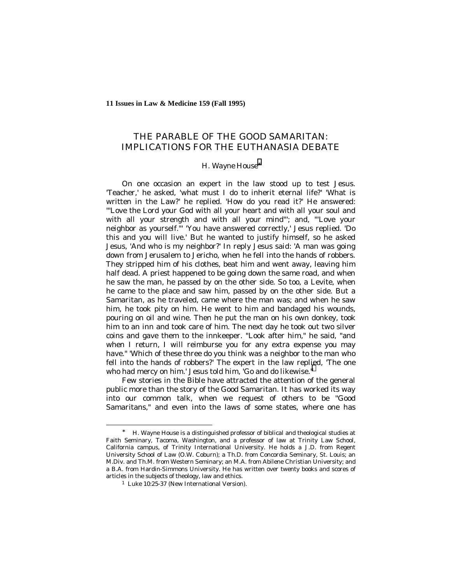#### **11 Issues in Law & Medicine 159 (Fall 1995)**

# THE PARABLE OF THE GOOD SAMARITAN: IMPLICATIONS FOR THE EUTHANASIA DEBATE

### *H. Wayne House*<sup>∗</sup>

On one occasion an expert in the law stood up to test Jesus. 'Teacher,' he asked, 'what must I do to inherit eternal life?' 'What is written in the Law?' he replied. 'How do you read it?' He answered: "'Love the Lord your God with all your heart and with all your soul and with all your strength and with all your mind"'; and, "'Love your neighbor as yourself."' 'You have answered correctly,' Jesus replied. 'Do this and you will live.' But he wanted to justify himself, so he asked Jesus, 'And who is my neighbor?' In reply Jesus said: 'A man was going down from Jerusalem to Jericho, when he fell into the hands of robbers. They stripped him of his clothes, beat him and went away, leaving him half dead. A priest happened to be going down the same road, and when he saw the man, he passed by on the other side. So too, a Levite, when he came to the place and saw him, passed by on the other side. But a Samaritan, as he traveled, came where the man was; and when he saw him, he took pity on him. He went to him and bandaged his wounds, pouring on oil and wine. Then he put the man on his own donkey, took him to an inn and took care of him. The next day he took out two silver coins and gave them to the innkeeper. "Look after him," he said, "and when I return, I will reimburse you for any extra expense you may have." 'Which of these three do you think was a neighbor to the man who fell into the hands of robbers?' The expert in the law replied, 'The one who had mercy on him.' Jesus told him, 'Go and do likewise.'<sup>1</sup>

Few stories in the Bible have attracted the attention of the general public more than the story of the Good Samaritan. It has worked its way into our common talk, when we request of others to be "Good Samaritans," and even into the laws of some states, where one has

<sup>∗</sup> H. Wayne House is a distinguished professor of biblical and theological studies at Faith Seminary, Tacoma, Washington, and a professor of law at Trinity Law School, California campus, of Trinity International University. He holds a J.D. from Regent University School of Law (O.W. Coburn); a Th.D. from Concordia Seminary, St. Louis; an M.Div. and Th.M. from Western Seminary; an M.A. from Abilene Christian University; and a B.A. from Hardin-Simmons University. He has written over twenty books and scores of articles in the subjects of theology, law and ethics.

<sup>1</sup> Luke 10:25-37 (New International Version).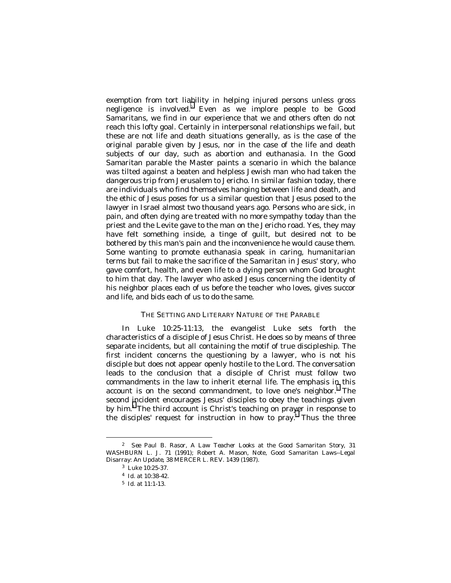exemption from tort liability in helping injured persons unless gross negligence is involved.<sup>2</sup> Even as we implore people to be Good Samaritans, we find in our experience that we and others often do not reach this lofty goal. Certainly in interpersonal relationships we fail, but these are not life and death situations generally, as is the case of the original parable given by Jesus, nor in the case of the life and death subjects of our day, such as abortion and euthanasia. In the Good Samaritan parable the Master paints a scenario in which the balance was tilted against a beaten and helpless Jewish man who had taken the dangerous trip from Jerusalem to Jericho. In similar fashion today, there are individuals who find themselves hanging between life and death, and the ethic of Jesus poses for us a similar question that Jesus posed to the lawyer in Israel almost two thousand years ago. Persons who are sick, in pain, and often dying are treated with no more sympathy today than the priest and the Levite gave to the man on the Jericho road. Yes, they may have felt something inside, a tinge of guilt, but desired not to be bothered by this man's pain and the inconvenience he would cause them. Some wanting to promote euthanasia speak in caring, humanitarian terms but fail to make the sacrifice of the Samaritan in Jesus' story, who gave comfort, health, and even life to a dying person whom God brought to him that day. The lawyer who asked Jesus concerning the identity of his neighbor places each of us before the teacher who loves, gives succor and life, and bids each of us to do the same.

#### THE SETTING AND LITERARY NATURE OF THE PARABLE

In Luke 10:25-11:13, the evangelist Luke sets forth the characteristics of a disciple of Jesus Christ. He does so by means of three separate incidents, but all containing the motif of true discipleship. The first incident concerns the questioning by a lawyer, who is not his disciple but does not appear openly hostile to the Lord. The conversation leads to the conclusion that a disciple of Christ must follow two commandments in the law to inherit eternal life. The emphasis in this account is on the second commandment, to love one's neighbor.<sup>3</sup> The second incident encourages Jesus' disciples to obey the teachings given by him.<sup>4</sup> The third account is Christ's teaching on prayer in response to the disciples' request for instruction in how to pray.<sup>5</sup> Thus the three

<sup>2</sup> *See* Paul B. Rasor, *A Law Teacher Looks at the Good Samaritan Story*, 31 WASHBURN L. J. 71 (1991); Robert A. Mason, Note, *Good Samaritan Laws--Legal Disarray: An Update*, 38 MERCER L. REV. 1439 (1987).

<sup>3</sup> Luke 10:25-37.

<sup>4</sup> Id. at 10:38-42.

<sup>5</sup> Id. at 11:1-13.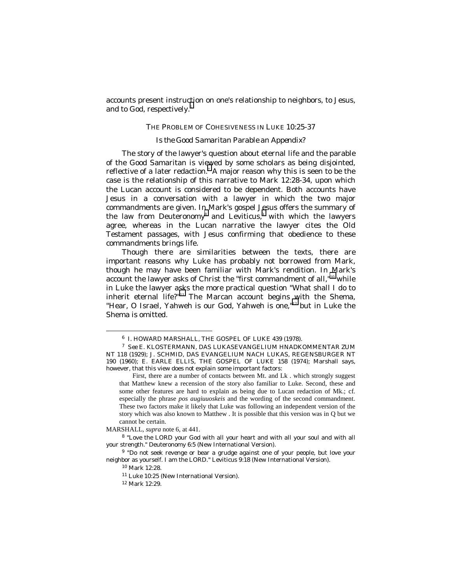accounts present instruction on one's relationship to neighbors, to Jesus, and to God, respectively.<sup>6</sup>

### THE PROBLEM OF COHESIVENESS IN LUKE 10:25-37

#### *Is the Good Samaritan Parable an Appendix?*

The story of the lawyer's question about eternal life and the parable of the Good Samaritan is viewed by some scholars as being disjointed, reflective of a later redaction.<sup>7</sup> A major reason why this is seen to be the case is the relationship of this narrative to Mark 12:28-34, upon which the Lucan account is considered to be dependent. Both accounts have Jesus in a conversation with a lawyer in which the two major commandments are given. In Mark's gospel Jesus offers the summary of the law from Deuteronomy<sup>8</sup> and Leviticus,<sup>9</sup> with which the lawyers agree, whereas in the Lucan narrative the lawyer cites the Old Testament passages, with Jesus confirming that obedience to these commandments brings life.

Though there are similarities between the texts, there are important reasons why Luke has probably not borrowed from Mark, though he may have been familiar with Mark's rendition. In Mark's account the lawyer asks of Christ the "first commandment of all,"<sup>10</sup> while in Luke the lawyer asks the more practical question "What shall I do to inherit eternal life?"<sup>11</sup> The Marcan account begins with the Shema, "Hear, O Israel, Yahweh is our God, Yahweh is one,"<sup>12</sup> but in Luke the Shema is omitted.

MARSHALL, *supra* note 6, at 441.

<sup>6</sup> I. HOWARD MARSHALL, THE GOSPEL OF LUKE 439 (1978).

<sup>7</sup> *See* E. KLOSTERMANN, DAS LUKASEVANGELIUM HNADKOMMENTAR ZUM NT 118 (1929); J. SCHMID, DAS EVANGELIUM NACH LUKAS, REGENSBURGER NT 190 (1960); E. EARLE ELLIS, THE GOSPEL OF LUKE 158 (1974); Marshall says, however, that this view does not explain some important factors:

First, there are a number of contacts between Mt. and Lk . which strongly suggest that Matthew knew a recension of the story also familiar to Luke. Second, these and some other features are hard to explain as being due to Lucan redaction of Mk.; cf. especially the phrase *pos augiuuoskeis* and the wording of the second commandment. These two factors make it likely that Luke was following an independent version of the story which was also known to Matthew . It is possible that this version was in Q but we cannot be certain.

<sup>8 &</sup>quot;Love the LORD your God with all your heart and with all your soul and with all your strength." Deuteronomy 6:5 (New International Version).

<sup>&</sup>lt;sup>9</sup> "Do not seek revenge or bear a grudge against one of your people, but love your neighbor as yourself. I am the LORD." Leviticus 9:18 (New International Version).

<sup>10</sup> Mark 12:28.

<sup>11</sup> Luke 10:25 (New International Version).

<sup>12</sup> Mark 12:29.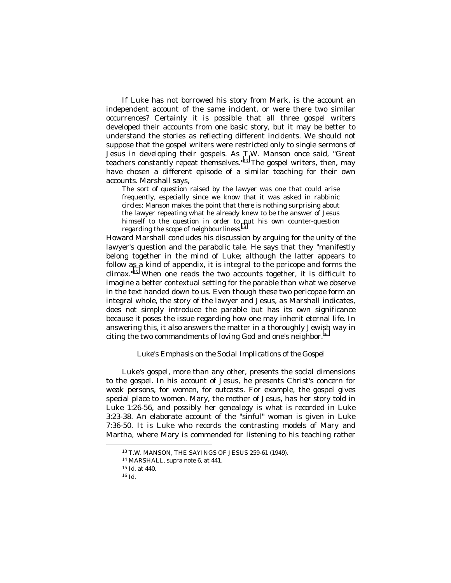If Luke has not borrowed his story from Mark, is the account an independent account of the same incident, or were there two similar occurrences? Certainly it is possible that all three gospel writers developed their accounts from one basic story, but it may be better to understand the stories as reflecting different incidents. We should not suppose that the gospel writers were restricted only to single sermons of Jesus in developing their gospels. As T.W. Manson once said, "Great teachers constantly repeat themselves."<sup>13</sup> The gospel writers, then, may have chosen a different episode of a similar teaching for their own accounts. Marshall says,

The sort of question raised by the lawyer was one that could arise frequently, especially since we know that it was asked in rabbinic circles; Manson makes the point that there is nothing surprising about the lawyer repeating what he already knew to be the answer of Jesus himself to the question in order to put his own counter-question regarding the scope of neighbourliness.<sup>14</sup>

Howard Marshall concludes his discussion by arguing for the unity of the lawyer's question and the parabolic tale. He says that they "manifestly belong together in the mind of Luke; although the latter appears to follow as a kind of appendix, it is integral to the pericope and forms the climax."<sup>15</sup> When one reads the two accounts together, it is difficult to imagine a better contextual setting for the parable than what we observe in the text handed down to us. Even though these two pericopae form an integral whole, the story of the lawyer and Jesus, as Marshall indicates, does not simply introduce the parable but has its own significance because it poses the issue regarding how one may inherit eternal life. In answering this, it also answers the matter in a thoroughly Jewish way in citing the two commandments of loving God and one's neighbor.<sup>16</sup>

### *Luke's Emphasis on the Social Implications of the Gospel*

Luke's gospel, more than any other, presents the social dimensions to the gospel. In his account of Jesus, he presents Christ's concern for weak persons, for women, for outcasts. For example, the gospel gives special place to women. Mary, the mother of Jesus, has her story told in Luke 1:26-56, and possibly her genealogy is what is recorded in Luke 3:23-38. An elaborate account of the "sinful" woman is given in Luke 7:36-50. It is Luke who records the contrasting models of Mary and Martha, where Mary is commended for listening to his teaching rather

<sup>13</sup> T.W. MANSON, THE SAYINGS OF JESUS 259-61 (1949).

<sup>14</sup> MARSHALL, *supra* note 6, at 441.

<sup>15</sup> Id. at 440.

<sup>16</sup> Id.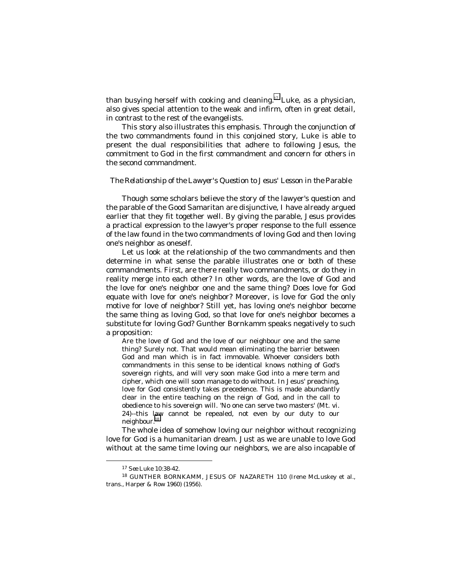than busying herself with cooking and cleaning.<sup>17</sup> Luke, as a physician, also gives special attention to the weak and infirm, often in great detail, in contrast to the rest of the evangelists.

This story also illustrates this emphasis. Through the conjunction of the two commandments found in this conjoined story, Luke is able to present the dual responsibilities that adhere to following Jesus, the commitment to God in the first commandment and concern for others in the second commandment.

#### *The Relationship of the Lawyer's Question to Jesus' Lesson in the Parable*

Though some scholars believe the story of the lawyer's question and the parable of the Good Samaritan are disjunctive, I have already argued earlier that they fit together well. By giving the parable, Jesus provides a practical expression to the lawyer's proper response to the full essence of the law found in the two commandments of loving God and then loving one's neighbor as oneself.

Let us look at the relationship of the two commandments and then determine in what sense the parable illustrates one or both of these commandments. First, are there really two commandments, or do they in reality merge into each other? In other words, are the love of God and the love for one's neighbor one and the same thing? Does love for God equate with love for one's neighbor? Moreover, is love for God the only motive for love of neighbor? Still yet, has loving one's neighbor become the same thing as loving God, so that love for one's neighbor becomes a substitute for loving God? Gunther Bornkamm speaks negatively to such a proposition:

Are the love of God and the love of our neighbour one and the same thing? Surely not. That would mean eliminating the barrier between God and man which is in fact immovable. Whoever considers both commandments in this sense to be identical knows nothing of God's sovereign rights, and will very soon make God into a mere term and cipher, which one will soon manage to do without. In Jesus' preaching, love for God consistently takes precedence. This is made abundantly clear in the entire teaching on the reign of God, and in the call to obedience to his sovereign will. 'No one can serve two masters' (Mt. vi. 24)--this law cannot be repealed, not even by our duty to our neighbour. $18$ 

The whole idea of somehow loving our neighbor without recognizing love for God is a humanitarian dream. Just as we are unable to love God without at the same time loving our neighbors, we are also incapable of

<sup>17</sup> *See* Luke 10:38-42.

<sup>18</sup> GUNTHER BORNKAMM, JESUS OF NAZARETH 110 (Irene McLuskey et al., trans., Harper & Row 1960) (1956).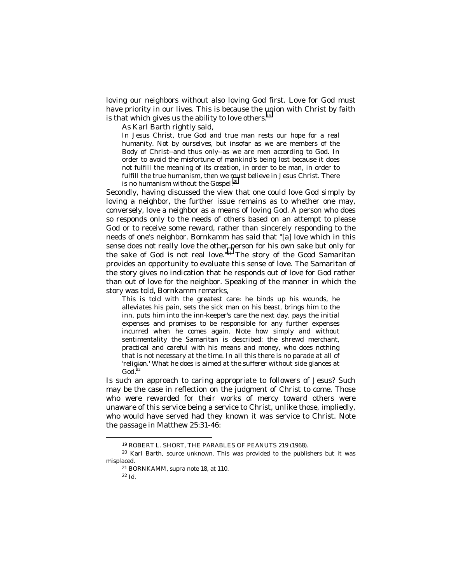loving our neighbors without also loving God first. Love for God must have priority in our lives. This is because the union with Christ by faith is that which gives us the ability to love others.<sup>19</sup>

As Karl Barth rightly said,

In Jesus Christ, true God and true man rests our hope for a real humanity. Not by ourselves, but insofar as we are members of the Body of Christ--and thus only--as we are men according to God. In order to avoid the misfortune of mankind's being lost because it does not fulfill the meaning of its creation, in order to be man, in order to fulfill the true humanism, then we must believe in Jesus Christ. There is no humanism without the Gospel.<sup>20</sup>

Secondly, having discussed the view that one could love God simply by loving a neighbor, the further issue remains as to whether one may, conversely, love a neighbor as a means of loving God. A person who does so responds only to the needs of others based on an attempt to please God or to receive some reward, rather than sincerely responding to the needs of one's neighbor. Bornkamm has said that "[a] love which in this sense does not really love the other person for his own sake but only for the sake of God is not real love."<sup>21</sup> The story of the Good Samaritan provides an opportunity to evaluate this sense of love. The Samaritan of the story gives no indication that he responds out of love for God rather than out of love for the neighbor. Speaking of the manner in which the story was told, Bornkamm remarks,

This is told with the greatest care: he binds up his wounds, he alleviates his pain, sets the sick man on his beast, brings him to the inn, puts him into the inn-keeper's care the next day, pays the initial expenses and promises to be responsible for any further expenses incurred when he comes again. Note how simply and without sentimentality the Samaritan is described: the shrewd merchant, practical and careful with his means and money, who does nothing that is not necessary at the time. In all this there is no parade at all of 'religion.' What he does is aimed at the sufferer without side glances at  $God.<sup>22</sup>$ 

Is such an approach to caring appropriate to followers of Jesus? Such may be the case in reflection on the judgment of Christ to come. Those who were rewarded for their works of mercy toward others were unaware of this service being a service to Christ, unlike those, impliedly, who would have served had they known it was service to Christ. Note the passage in Matthew 25:31-46:

22 Id.

<sup>19</sup> ROBERT L. SHORT, THE PARABLES OF PEANUTS 219 (1968).

<sup>20</sup> Karl Barth, source unknown. This was provided to the publishers but it was misplaced.

<sup>21</sup> BORNKAMM, *supra* note 18, at 110.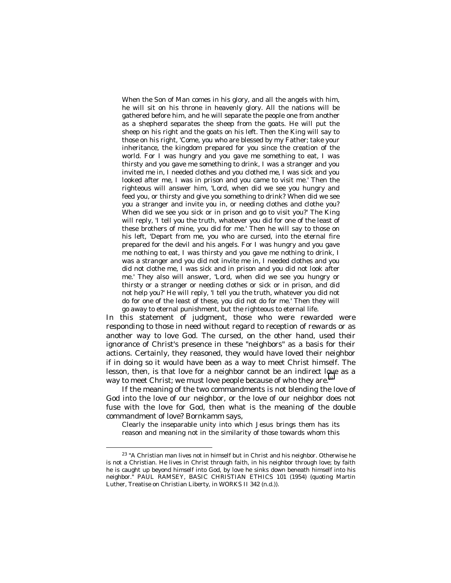When the Son of Man comes in his glory, and all the angels with him, he will sit on his throne in heavenly glory. All the nations will be gathered before him, and he will separate the people one from another as a shepherd separates the sheep from the goats. He will put the sheep on his right and the goats on his left. Then the King will say to those on his right, 'Come, you who are blessed by my Father; take your inheritance, the kingdom prepared for you since the creation of the world. For I was hungry and you gave me something to eat, I was thirsty and you gave me something to drink, I was a stranger and you invited me in, I needed clothes and you clothed me, I was sick and you looked after me, I was in prison and you came to visit me.' Then the righteous will answer him, 'Lord, when did we see you hungry and feed you, or thirsty and give you something to drink? When did we see you a stranger and invite you in, or needing clothes and clothe you? When did we see you sick or in prison and go to visit you?' The King will reply, 'I tell you the truth, whatever you did for one of the least of these brothers of mine, you did for me.' Then he will say to those on his left, 'Depart from me, you who are cursed, into the eternal fire prepared for the devil and his angels. For I was hungry and you gave me nothing to eat, I was thirsty and you gave me nothing to drink, I was a stranger and you did not invite me in, I needed clothes and you did not clothe me, I was sick and in prison and you did not look after me.' They also will answer, 'Lord, when did we see you hungry or thirsty or a stranger or needing clothes or sick or in prison, and did not help you?' He will reply, 'I tell you the truth, whatever you did not do for one of the least of these, you did not do for me.' Then they will go away to eternal punishment, but the righteous to eternal life.

In this statement of judgment, those who were rewarded were responding to those in need without regard to reception of rewards or as another way to love God. The cursed, on the other hand, used their ignorance of Christ's presence in these "neighbors" as a basis for their actions. Certainly, they reasoned, they would have loved their neighbor if in doing so it would have been as a way to meet Christ himself. The lesson, then, is that love for a neighbor cannot be an indirect love as a way to meet Christ; we must love people because of who they are.<sup>23</sup>

If the meaning of the two commandments is not blending the love of God into the love of our neighbor, or the love of our neighbor does not fuse with the love for God, then what is the meaning of the double commandment of love? Bornkamm says,

Clearly the inseparable unity into which Jesus brings them has its reason and meaning not in the similarity of those towards whom this

<sup>&</sup>lt;sup>23</sup> "A Christian man lives not in himself but in Christ and his neighbor. Otherwise he is not a Christian. He lives in Christ through faith, in his neighbor through love; by faith he is caught up beyond himself into God, by love he sinks down beneath himself into his neighbor." PAUL RAMSEY, BASIC CHRISTIAN ETHICS 101 (1954) (*quoting* Martin Luther, Treatise on Christian Liberty, in WORKS II 342 (n.d.)).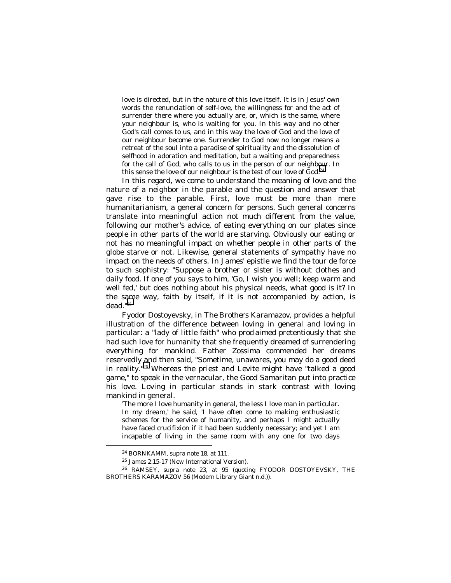love is directed, but in the nature of this love itself. It is in Jesus' own words the renunciation of self-love, the willingness for and the act of surrender there where you actually are, or, which is the same, where your neighbour is, who is waiting for you. In this way and no other God's call comes to us, and in this way the love of God and the love of our neighbour become one. Surrender to God now no longer means a retreat of the soul into a paradise of spirituality and the dissolution of selfhood in adoration and meditation, but a waiting and preparedness for the call of God, who calls to us in the person of our neighbour. In this sense the love of our neighbour is the test of our love of  $God.^{24}$ 

In this regard, we come to understand the meaning of love and the nature of a neighbor in the parable and the question and answer that gave rise to the parable. First, love must be more than mere humanitarianism, a general concern for persons. Such general concerns translate into meaningful action not much different from the value, following our mother's advice, of eating everything on our plates since people in other parts of the world are starving. Obviously our eating or not has no meaningful impact on whether people in other parts of the globe starve or not. Likewise, general statements of sympathy have no impact on the needs of others. In James' epistle we find the tour de force to such sophistry: "Suppose a brother or sister is without clothes and daily food. If one of you says to him, 'Go, I wish you well; keep warm and well fed,' but does nothing about his physical needs, what good is it? In the same way, faith by itself, if it is not accompanied by action, is dead."<sup>25</sup>

Fyodor Dostoyevsky, in *The Brothers Karamazov*, provides a helpful illustration of the difference between loving in general and loving in particular: a "lady of little faith" who proclaimed pretentiously that she had such love for humanity that she frequently dreamed of surrendering everything for mankind. Father Zossima commended her dreams reservedly and then said, "Sometime, unawares, you may do a good deed in reality."<sup>26</sup> Whereas the priest and Levite might have "talked a good game," to speak in the vernacular, the Good Samaritan put into practice his love. Loving in particular stands in stark contrast with loving mankind in general.

'The more I love humanity in general, the less I love man in particular. In my dream,' he said, 'I have often come to making enthusiastic schemes for the service of humanity, and perhaps I might actually have faced crucifixion if it had been suddenly necessary; and yet I am incapable of living in the same room with any one for two days

<sup>24</sup> BORNKAMM, *supra* note 18, at 111.

<sup>25</sup> James 2:15-17 (New International Version).

<sup>26</sup> RAMSEY, *supra* note 23, at 95 (*quoting* FYODOR DOSTOYEVSKY, THE BROTHERS KARAMAZOV 56 (Modern Library Giant n.d.)).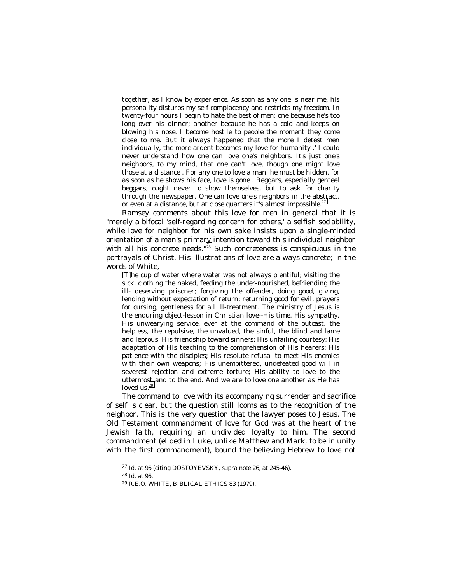together, as I know by experience. As soon as any one is near me, his personality disturbs my self-complacency and restricts my freedom. In twenty-four hours I begin to hate the best of men: one because he's too long over his dinner; another because he has a cold and keeps on blowing his nose. I become hostile to people the moment they come close to me. But it always happened that the more I detest men individually, the more ardent becomes my love for humanity .' I could never understand how one can love one's neighbors. It's just one's neighbors, to my mind, that one can't love, though one might love those at a distance . For any one to love a man, he must be hidden, for as soon as he shows his face, love is gone . Beggars, especially genteel beggars, ought never to show themselves, but to ask for charity through the newspaper. One can love one's neighbors in the abstract, or even at a distance, but at close quarters it's almost impossible. $^{27}$ 

Ramsey comments about this love for men in general that it is "merely a bifocal 'self-regarding concern for others,' a selfish sociability, while love for neighbor for his own sake insists upon a single-minded orientation of a man's primary intention toward this individual neighbor with all his concrete needs."<sup>28</sup> Such concreteness is conspicuous in the portrayals of Christ. His illustrations of love are always concrete; in the words of White,

[T]he cup of water where water was not always plentiful; visiting the sick, clothing the naked, feeding the under-nourished, befriending the ill- deserving prisoner; forgiving the offender, doing good, giving, lending without expectation of return; returning good for evil, prayers for cursing, gentleness for all ill-treatment. The ministry of Jesus is the enduring object-lesson in Christian love--His time, His sympathy, His unwearying service, ever at the command of the outcast, the helpless, the repulsive, the unvalued, the sinful, the blind and lame and leprous; His friendship toward sinners; His unfailing courtesy; His adaptation of His teaching to the comprehension of His hearers; His patience with the disciples; His resolute refusal to meet His enemies with their own weapons; His unembittered, undefeated good will in severest rejection and extreme torture; His ability to love to the uttermost and to the end. And we are to love one another as He has loved us $^{29}$ 

The command to love with its accompanying surrender and sacrifice of self is clear, but the question still looms as to the recognition of the neighbor. This is the very question that the lawyer poses to Jesus. The Old Testament commandment of love for God was at the heart of the Jewish faith, requiring an undivided loyalty to him. The second commandment (elided in Luke, unlike Matthew and Mark, to be in unity with the first commandment), bound the believing Hebrew to love not

<sup>27</sup> Id. at 95 (*citing* DOSTOYEVSKY, *supra* note 26, at 245-46).

<sup>28</sup> Id. at 95.

<sup>29</sup> R.E.O. WHITE, BIBLICAL ETHICS 83 (1979).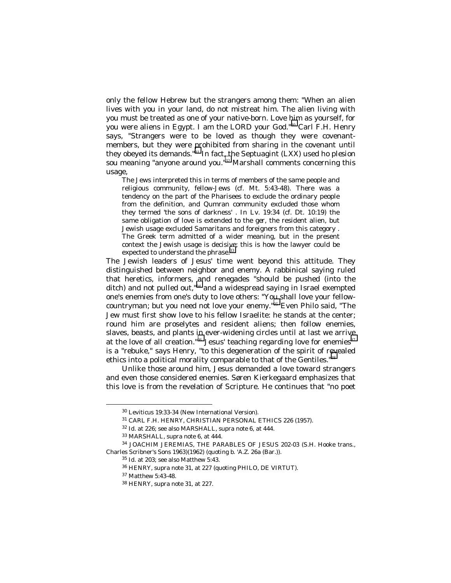only the fellow Hebrew but the strangers among them: "When an alien lives with you in your land, do not mistreat him. The alien living with you must be treated as one of your native-born. Love him as yourself, for you were aliens in Egypt. I am the LORD your God."<sup>30</sup> Carl F.H. Henry says, "Strangers were to be loved as though they were covenantmembers, but they were prohibited from sharing in the covenant until they obeyed its demands."<sup>31</sup> In fact, the Septuagint (LXX) used *ho plesion sou* meaning "anyone around you."<sup>32</sup> Marshall comments concerning this usage,

The Jews interpreted this in terms of members of the same people and religious community, fellow-Jews (cf. Mt. 5:43-48). There was a tendency on the part of the Pharisees to exclude the ordinary people from the definition, and Qumran community excluded those whom they termed 'the sons of darkness' . In Lv. 19:34 (cf. Dt. 10:19) the same obligation of love is extended to the *ger*, the resident alien, but Jewish usage excluded Samaritans and foreigners from this category . The Greek term admitted of a wider meaning, but in the present context the Jewish usage is decisive; this is how the lawyer could be expected to understand the phrase.<sup>33</sup>

The Jewish leaders of Jesus' time went beyond this attitude. They distinguished between neighbor and enemy. A rabbinical saying ruled that heretics, informers, and renegades "should be pushed (into the ditch) and not pulled out,"<sup>34</sup> and a widespread saying in Israel exempted one's enemies from one's duty to love others: "You shall love your fellowcountryman; but you need not love your enemy."<sup>35</sup> Even Philo said, "The Jew must first show love to his fellow Israelite: he stands at the center; round him are proselytes and resident aliens; then follow enemies, slaves, beasts, and plants in ever-widening circles until at last we arrive at the love of all creation." $36$  Jesus' teaching regarding love for enemies $37$ is a "rebuke," says Henry, "to this degeneration of the spirit of revealed ethics into a political morality comparable to that of the Gentiles."<sup>38</sup>

Unlike those around him, Jesus demanded a love toward strangers and even those considered enemies. Søren Kierkegaard emphasizes that this love is from the revelation of Scripture. He continues that "no poet

<sup>30</sup> Leviticus 19:33-34 (New International Version).

<sup>31</sup> CARL F.H. HENRY, CHRISTIAN PERSONAL ETHICS 226 (1957).

<sup>32</sup> Id. at 226; see also MARSHALL, *supra* note 6, at 444.

<sup>33</sup> MARSHALL, *supra* note 6, at 444.

<sup>34</sup> JOACHIM JEREMIAS, THE PARABLES OF JESUS 202-03 (S.H. Hooke trans., Charles Scribner's Sons 1963)(1962) (*quoting* b. 'A.Z. 26a (Bar.)).

<sup>35</sup> Id. at 203; see also Matthew 5:43.

<sup>36</sup> HENRY, *supra* note 31, at 227 (*quoting* PHILO, DE VIRTUT).

<sup>37</sup> Matthew 5:43-48.

<sup>38</sup> HENRY, *supra* note 31, at 227.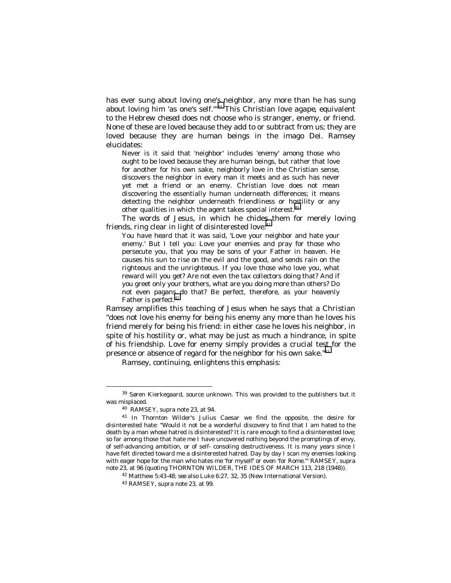has ever sung about loving one's neighbor, any more than he has sung about loving him 'as one's self."'<sup>39</sup> This Christian love *agape*, equivalent to the Hebrew *chesed* does not choose who is stranger, enemy, or friend. None of these are loved because they add to or subtract from us; they are loved because they are human beings in the imago Dei. Ramsey elucidates:

Never is it said that 'neighbor' includes 'enemy' among those who ought to be loved because they are human beings, but rather that love for another for his own sake, neighborly love in the Christian sense, discovers the neighbor in every man it meets and as such has never yet met a friend or an enemy. Christian love does not mean discovering the essentially human underneath differences; it means detecting the neighbor underneath friendliness or hostility or any other qualities in which the agent takes special interest.<sup>40</sup>

The words of Jesus, in which he chides them for merely loving friends, ring clear in light of disinterested love: $41$ 

You have heard that it was said, 'Love your neighbor and hate your enemy.' But I tell you: Love your enemies and pray for those who persecute you, that you may be sons of your Father in heaven. He causes his sun to rise on the evil and the good, and sends rain on the righteous and the unrighteous. If you love those who love you, what reward will you get? Are not even the tax collectors doing that? And if you greet only your brothers, what are you doing more than others? Do not even pagans do that? Be perfect, therefore, as your heavenly Father is perfect.<sup>42</sup>

Ramsey amplifies this teaching of Jesus when he says that a Christian "does not love his enemy for being his enemy any more than he loves his friend merely for being his friend: in either case he loves his neighbor, in spite of his hostility or, what may be just as much a hindrance, in spite of his friendship. Love for enemy simply provides a crucial test for the presence or absence of regard for the neighbor for his own sake."<sup>43</sup>

Ramsey, continuing, enlightens this emphasis:

<sup>39</sup> Søren Kierkegaard, source unknown. This was provided to the publishers but it was misplaced.

<sup>40</sup> RAMSEY, *supra* note 23, at 94.

<sup>41</sup> In Thornton Wilder's Julius Caesar we find the opposite, the desire for disinterested hate: "Would it not be a wonderful discovery to find that I am hated to the death by a man whose hatred is disinterested? It is rare enough to find a disinterested love; so far among those that hate me I have uncovered nothing beyond the promptings of envy, of self-advancing ambition, or of self- consoling destructiveness. It is many years since I have felt directed toward me a disinterested hatred. Day by day I scan my enemies looking with eager hope for the man who hates me 'for myself' or even 'for Rome."' RAMSEY, *supra* note 23, at 96 (*quoting* THORNTON WILDER, THE IDES OF MARCH 113, 218 (1948)).

<sup>42</sup> Matthew 5:43-48; *see also* Luke 6:27, 32, 35 (New International Version).

<sup>43</sup> RAMSEY, *supra* note 23, at 99.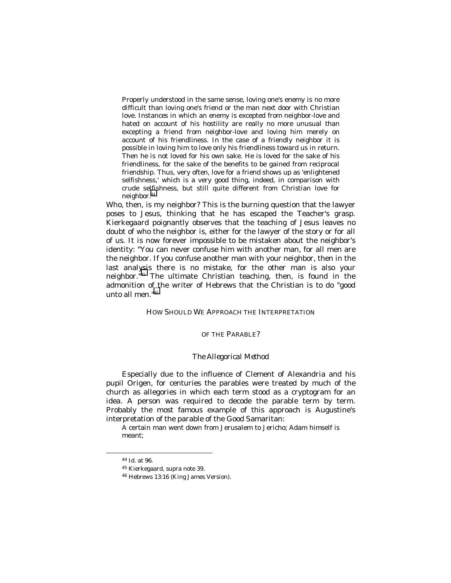Properly understood in the same sense, loving one's enemy is no more difficult than loving one's friend or the man next door with Christian love. Instances in which an enemy is excepted from neighbor-love and hated on account of his hostility are really no more unusual than excepting a friend from neighbor-love and loving him merely on account of his friendliness. In the case of a friendly neighbor it is possible in loving him to love only his friendliness toward us in return. Then he is not loved for his own sake. He is loved for the sake of his friendliness, for the sake of the benefits to be gained from reciprocal friendship. Thus, very often, love for a friend shows up as 'enlightened selfishness,' which is a very good thing, indeed, in comparison with crude selfishness, but still quite different from Christian love for neighbor.<sup>44</sup>

Who, then, is my neighbor? This is the burning question that the lawyer poses to Jesus, thinking that he has escaped the Teacher's grasp. Kierkegaard poignantly observes that the teaching of Jesus leaves no doubt of who the neighbor is, either for the lawyer of the story or for all of us. It is now forever impossible to be mistaken about the neighbor's identity: "You can never confuse him with another man, for all men are the neighbor. If you confuse another man with your neighbor, then in the last analysis there is no mistake, for the other man is also your neighbor."<sup>45</sup> The ultimate Christian teaching, then, is found in the admonition of the writer of Hebrews that the Christian is to do "good unto all men."<sup>46</sup>

### HOW SHOULD WE APPROACH THE INTERPRETATION

#### OF THE PARABLE?

#### *The Allegorical Method*

Especially due to the influence of Clement of Alexandria and his pupil Origen, for centuries the parables were treated by much of the church as allegories in which each term stood as a cryptogram for an idea. A person was required to decode the parable term by term. Probably the most famous example of this approach is Augustine's interpretation of the parable of the Good Samaritan:

A certain man went down from Jerusalem to Jericho; Adam himself is meant;

<sup>44</sup> Id. at 96.

<sup>45</sup> Kierkegaard, *supra* note 39.

<sup>46</sup> Hebrews 13:16 (King James Version).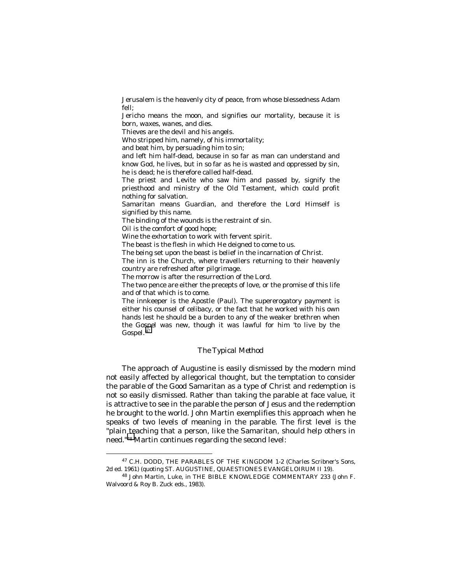Jerusalem is the heavenly city of peace, from whose blessedness Adam  $f_{\rho}$ ]] $\cdot$ 

Jericho means the moon, and signifies our mortality, because it is born, waxes, wanes, and dies.

Thieves are the devil and his angels.

Who stripped him, namely, of his immortality;

and beat him, by persuading him to sin;

and left him half-dead, because in so far as man can understand and know God, he lives, but in so far as he is wasted and oppressed by sin, he is dead; he is therefore called half-dead.

The priest and Levite who saw him and passed by, signify the priesthood and ministry of the Old Testament, which could profit nothing for salvation.

Samaritan means Guardian, and therefore the Lord Himself is signified by this name.

The binding of the wounds is the restraint of sin.

Oil is the comfort of good hope;

 $\overline{\phantom{a}}$ 

Wine the exhortation to work with fervent spirit.

The beast is the flesh in which He deigned to come to us.

The being set upon the beast is belief in the incarnation of Christ.

The inn is the Church, where travellers returning to their heavenly country are refreshed after pilgrimage.

The morrow is after the resurrection of the Lord.

The two pence are either the precepts of love, or the promise of this life and of that which is to come.

The innkeeper is the Apostle (Paul). The supererogatory payment is either his counsel of celibacy, or the fact that he worked with his own hands lest he should be a burden to any of the weaker brethren when the Gospel was new, though it was lawful for him 'to live by the  $Gospel.<sup>47</sup>$ 

#### *The Typical Method*

The approach of Augustine is easily dismissed by the modern mind not easily affected by allegorical thought, but the temptation to consider the parable of the Good Samaritan as a type of Christ and redemption is not so easily dismissed. Rather than taking the parable at face value, it is attractive to see in the parable the person of Jesus and the redemption he brought to the world. John Martin exemplifies this approach when he speaks of two levels of meaning in the parable. The first level is the "plain teaching that a person, like the Samaritan, should help others in need."48 Martin continues regarding the second level:

<sup>47</sup> C.H. DODD, THE PARABLES OF THE KINGDOM 1-2 (Charles Scribner's Sons, 2d ed. 1961) (*quoting* ST. AUGUSTINE, QUAESTIONES EVANGELOIRUM II 19).

<sup>48</sup> John Martin, Luke, in THE BIBLE KNOWLEDGE COMMENTARY 233 (John F. Walvoord & Roy B. Zuck eds., 1983).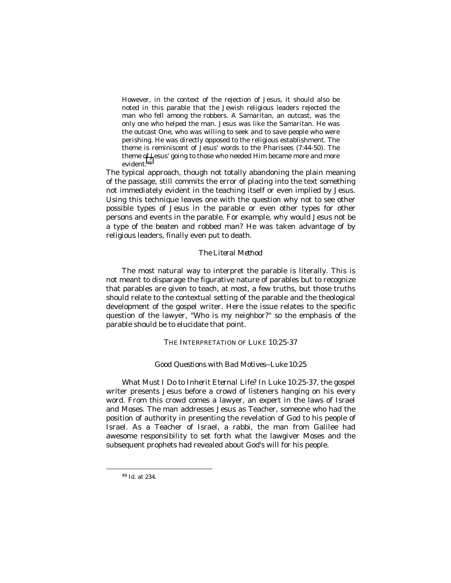However, in the context of the rejection of Jesus, it should also be noted in this parable that the Jewish religious leaders rejected the man who fell among the robbers. A Samaritan, an outcast, was the only one who helped the man. Jesus was like the Samaritan. He was the outcast One, who was willing to seek and to save people who were perishing. He was directly opposed to the religious establishment. The theme is reminiscent of Jesus' words to the Pharisees (7:44-50). The theme of Jesus' going to those who needed Him became more and more evident.49

The typical approach, though not totally abandoning the plain meaning of the passage, still commits the error of placing into the text something not immediately evident in the teaching itself or even implied by Jesus. Using this technique leaves one with the question why not to see other possible types of Jesus in the parable or even other types for other persons and events in the parable. For example, why would Jesus not be a type of the beaten and robbed man? He was taken advantage of by religious leaders, finally even put to death.

### *The Literal Method*

The most natural way to interpret the parable is literally. This is not meant to disparage the figurative nature of parables but to recognize that parables are given to teach, at most, a few truths, but those truths should relate to the contextual setting of the parable and the theological development of the gospel writer. Here the issue relates to the specific question of the lawyer, "Who is my neighbor?" so the emphasis of the parable should be to elucidate that point.

#### THE INTERPRETATION OF LUKE 10:25-37

### *Good Questions with Bad Motives--Luke 10:25*

*What Must I Do to Inherit Eternal Life?* In Luke 10:25-37, the gospel writer presents Jesus before a crowd of listeners hanging on his every word. From this crowd comes a lawyer, an expert in the laws of Israel and Moses. The man addresses Jesus as Teacher, someone who had the position of authority in presenting the revelation of God to his people of Israel. As a Teacher of Israel, a rabbi, the man from Galilee had awesome responsibility to set forth what the lawgiver Moses and the subsequent prophets had revealed about God's will for his people.

<sup>49</sup> Id. at 234.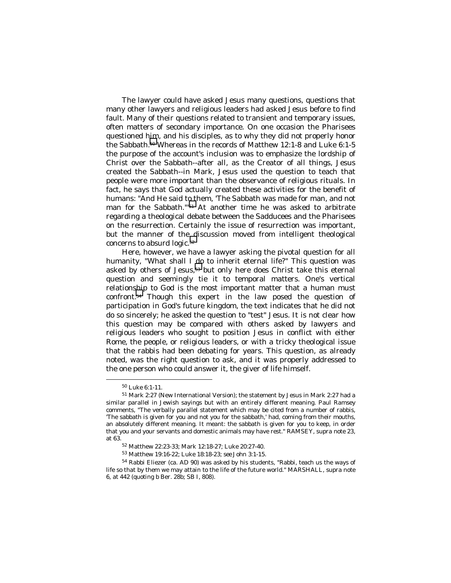The lawyer could have asked Jesus many questions, questions that many other lawyers and religious leaders had asked Jesus before to find fault. Many of their questions related to transient and temporary issues, often matters of secondary importance. On one occasion the Pharisees questioned him, and his disciples, as to why they did not properly honor the Sabbath.<sup>50</sup> Whereas in the records of Matthew 12:1-8 and Luke 6:1-5 the purpose of the account's inclusion was to emphasize the lordship of Christ over the Sabbath--after all, as the Creator of all things, Jesus created the Sabbath--in Mark, Jesus used the question to teach that people were more important than the observance of religious rituals. In fact, he says that God actually created these activities for the benefit of humans: "And He said to them, 'The Sabbath was made for man, and not man for the Sabbath."'51 At another time he was asked to arbitrate regarding a theological debate between the Sadducees and the Pharisees on the resurrection. Certainly the issue of resurrection was important, but the manner of the discussion moved from intelligent theological concerns to absurd logic.<sup>52</sup>

Here, however, we have a lawyer asking the pivotal question for all humanity, "What shall I do to inherit eternal life?" This question was asked by others of Jesus,<sup>53</sup> but only here does Christ take this eternal question and seemingly tie it to temporal matters. One's vertical relationship to God is the most important matter that a human must confront.54 Though this expert in the law posed the question of participation in God's future kingdom, the text indicates that he did not do so sincerely; he asked the question to "test" Jesus. It is not clear how this question may be compared with others asked by lawyers and religious leaders who sought to position Jesus in conflict with either Rome, the people, or religious leaders, or with a tricky theological issue that the rabbis had been debating for years. This question, as already noted, was the right question to ask, and it was properly addressed to the one person who could answer it, the giver of life himself.

<sup>50</sup> Luke 6:1-11.

<sup>51</sup> Mark 2:27 (New International Version); the statement by Jesus in Mark 2:27 had a similar parallel in Jewish sayings but with an entirely different meaning. Paul Ramsey comments, "The verbally parallel statement which may be cited from a number of rabbis, 'The sabbath is given for you and not you for the sabbath,' had, coming from their mouths, an absolutely different meaning. It meant: the sabbath is given for you to keep, in order that you and your servants and domestic animals may have rest." RAMSEY, *supra* note 23, at 63.

<sup>52</sup> Matthew 22:23-33; Mark 12:18-27; Luke 20:27-40.

<sup>53</sup> Matthew 19:16-22; Luke 18:18-23; *see* John 3:1-15.

<sup>54</sup> Rabbi Eliezer (ca. AD 90) was asked by his students, "Rabbi, teach us the ways of life so that by them we may attain to the life of the future world." MARSHALL, *supra* note 6, at 442 (*quoting* b Ber. 28b; SB I, 808).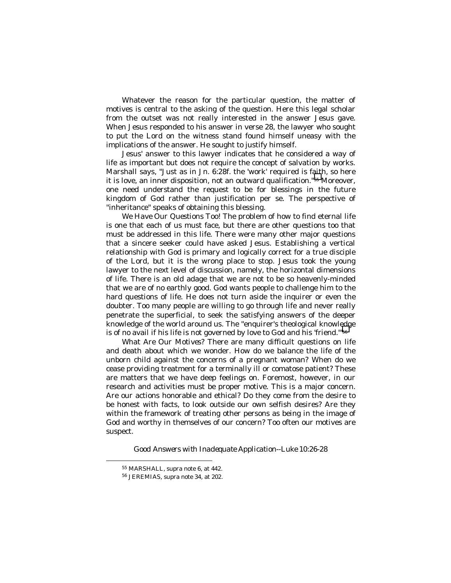Whatever the reason for the particular question, the matter of motives is central to the asking of the question. Here this legal scholar from the outset was not really interested in the answer Jesus gave. When Jesus responded to his answer in verse 28, the lawyer who sought to put the Lord on the witness stand found himself uneasy with the implications of the answer. He sought to justify himself.

Jesus' answer to this lawyer indicates that he considered a way of life as important but does not require the concept of salvation by works. Marshall says, "Just as in Jn. 6:28f. the 'work' required is faith, so here it is love, an inner disposition, not an outward qualification."55 Moreover, one need understand the request to be for blessings in the future kingdom of God rather than justification per se. The perspective of "inheritance" speaks of obtaining this blessing.

*We Have Our Questions Too!* The problem of how to find eternal life is one that each of us must face, but there are other questions too that must be addressed in this life. There were many other major questions that a sincere seeker could have asked Jesus. Establishing a vertical relationship with God is primary and logically correct for a true disciple of the Lord, but it is the wrong place to stop. Jesus took the young lawyer to the next level of discussion, namely, the horizontal dimensions of life. There is an old adage that we are not to be so heavenly-minded that we are of no earthly good. God wants people to challenge him to the hard questions of life. He does not turn aside the inquirer or even the doubter. Too many people are willing to go through life and never really penetrate the superficial, to seek the satisfying answers of the deeper knowledge of the world around us. The "enquirer's theological knowledge is of no avail if his life is not governed by love to God and his 'friend."'56

*What Are Our Motives?* There are many difficult questions on life and death about which we wonder. How do we balance the life of the unborn child against the concerns of a pregnant woman? When do we cease providing treatment for a terminally ill or comatose patient? These are matters that we have deep feelings on. Foremost, however, in our research and activities must be proper motive. This is a major concern. Are our actions honorable and ethical? Do they come from the desire to be honest with facts, to look outside our own selfish desires? Are they within the framework of treating other persons as being in the image of God and worthy in themselves of our concern? Too often our motives are suspect.

*Good Answers with Inadequate Application--Luke 10:26-28* 

<sup>55</sup> MARSHALL, *supra* note 6, at 442.

<sup>56</sup> JEREMIAS, *supra* note 34, at 202.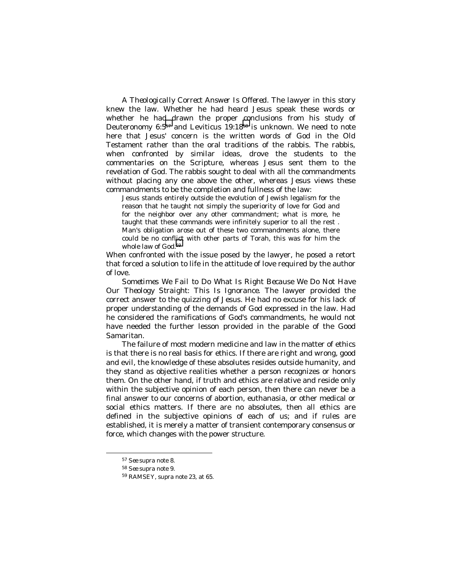*A Theologically Correct Answer Is Offered*. The lawyer in this story knew the law. Whether he had heard Jesus speak these words or whether he had drawn the proper conclusions from his study of Deuteronomy 6:557 and Leviticus 19:1858 is unknown. We need to note here that Jesus' concern is the written words of God in the Old Testament rather than the oral traditions of the rabbis. The rabbis, when confronted by similar ideas, drove the students to the commentaries on the Scripture, whereas Jesus sent them to the revelation of God. The rabbis sought to deal with all the commandments without placing any one above the other, whereas Jesus views these commandments to be the completion and fullness of the law:

Jesus stands entirely outside the evolution of Jewish legalism for the reason that he taught not simply the superiority of love for God and for the neighbor over any other commandment; what is more, he taught that these commands were infinitely superior to all the rest . Man's obligation arose out of these two commandments alone, there could be no conflict with other parts of Torah, this was for him the whole law of God.59

When confronted with the issue posed by the lawyer, he posed a retort that forced a solution to life in the attitude of love required by the author of love.

*Sometimes We Fail to Do What Is Right Because We Do Not Have Our Theology Straight: This Is Ignorance.* The lawyer provided the correct answer to the quizzing of Jesus. He had no excuse for his lack of proper understanding of the demands of God expressed in the law. Had he considered the ramifications of God's commandments, he would not have needed the further lesson provided in the parable of the Good Samaritan.

The failure of most modern medicine and law in the matter of ethics is that there is no real basis for ethics. If there are right and wrong, good and evil, the knowledge of these absolutes resides outside humanity, and they stand as objective realities whether a person recognizes or honors them. On the other hand, if truth and ethics are relative and reside only within the subjective opinion of each person, then there can never be a final answer to our concerns of abortion, euthanasia, or other medical or social ethics matters. If there are no absolutes, then all ethics are defined in the subjective opinions of each of us; and if rules are established, it is merely a matter of transient contemporary consensus or force, which changes with the power structure.

<sup>57</sup> *See supra* note 8.

<sup>58</sup> *See supra* note 9.

<sup>59</sup> RAMSEY, *supra* note 23, at 65.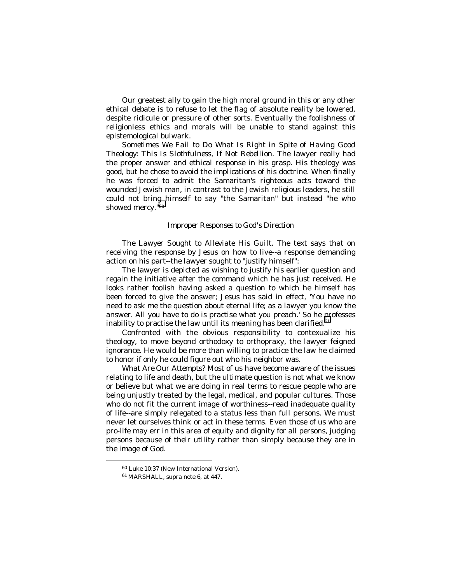Our greatest ally to gain the high moral ground in this or any other ethical debate is to refuse to let the flag of absolute reality be lowered, despite ridicule or pressure of other sorts. Eventually the foolishness of religionless ethics and morals will be unable to stand against this epistemological bulwark.

*Sometimes We Fail to Do What Is Right in Spite of Having Good Theology: This Is Slothfulness, If Not Rebellion*. The lawyer really had the proper answer and ethical response in his grasp. His theology was good, but he chose to avoid the implications of his doctrine. When finally he was forced to admit the Samaritan's righteous acts toward the wounded Jewish man, in contrast to the Jewish religious leaders, he still could not bring himself to say "the Samaritan" but instead "he who showed mercy."60

#### *Improper Responses to God's Direction*

*The Lawyer Sought to Alleviate His Guilt*. The text says that on receiving the response by Jesus on how to live--a response demanding action on his part--the lawyer sought to "justify himself":

The lawyer is depicted as wishing to justify his earlier question and regain the initiative after the command which he has just received. He looks rather foolish having asked a question to which he himself has been forced to give the answer; Jesus has said in effect, 'You have no need to ask me the question about eternal life; as a lawyer you know the answer. All you have to do is practise what you preach.' So he professes inability to practise the law until its meaning has been clarified. $61$ 

Confronted with the obvious responsibility to contexualize his theology, to move beyond orthodoxy to orthopraxy, the lawyer feigned ignorance. He would be more than willing to practice the law he claimed to honor if only he could figure out who his neighbor was.

*What Are Our Attempts?* Most of us have become aware of the issues relating to life and death, but the ultimate question is not what we know or believe but what we are doing in real terms to rescue people who are being unjustly treated by the legal, medical, and popular cultures. Those who do not fit the current image of worthiness--read inadequate quality of life--are simply relegated to a status less than full persons. We must never let ourselves think or act in these terms. Even those of us who are pro-life may err in this area of equity and dignity for all persons, judging persons because of their utility rather than simply because they are in the image of God.

<sup>60</sup> Luke 10:37 (New International Version).

<sup>61</sup> MARSHALL, *supra* note 6, at 447.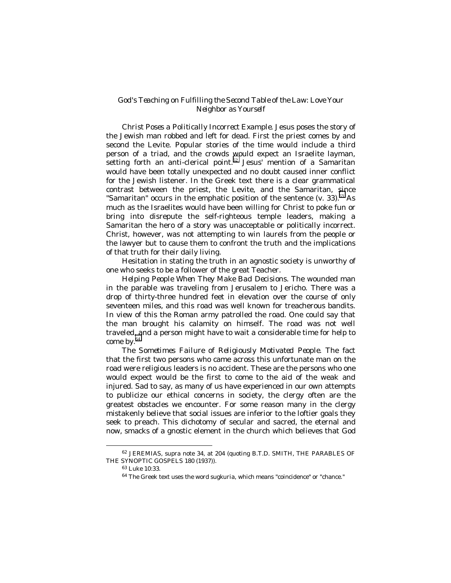### *God's Teaching on Fulfilling the Second Table of the Law: Love Your Neighbor as Yourself*

*Christ Poses a Politically Incorrect Example*. Jesus poses the story of the Jewish man robbed and left for dead. First the priest comes by and second the Levite. Popular stories of the time would include a third person of a triad, and the crowds would expect an Israelite layman, setting forth an anti-clerical point.<sup>62</sup> Jesus' mention of a Samaritan would have been totally unexpected and no doubt caused inner conflict for the Jewish listener. In the Greek text there is a clear grammatical contrast between the priest, the Levite, and the Samaritan, since "Samaritan" occurs in the emphatic position of the sentence  $(v. 33).^{63}$  As much as the Israelites would have been willing for Christ to poke fun or bring into disrepute the self-righteous temple leaders, making a Samaritan the hero of a story was unacceptable or politically incorrect. Christ, however, was not attempting to win laurels from the people or the lawyer but to cause them to confront the truth and the implications of that truth for their daily living.

Hesitation in stating the truth in an agnostic society is unworthy of one who seeks to be a follower of the great Teacher.

*Helping People When They Make Bad Decisions*. The wounded man in the parable was traveling from Jerusalem to Jericho. There was a drop of thirty-three hundred feet in elevation over the course of only seventeen miles, and this road was well known for treacherous bandits. In view of this the Roman army patrolled the road. One could say that the man brought his calamity on himself. The road was not well traveled, and a person might have to wait a considerable time for help to come by.<sup>64</sup>

*The Sometimes Failure of Religiously Motivated People*. The fact that the first two persons who came across this unfortunate man on the road were religious leaders is no accident. These are the persons who one would expect would be the first to come to the aid of the weak and injured. Sad to say, as many of us have experienced in our own attempts to publicize our ethical concerns in society, the clergy often are the greatest obstacles we encounter. For some reason many in the clergy mistakenly believe that social issues are inferior to the loftier goals they seek to preach. This dichotomy of secular and sacred, the eternal and now, smacks of a gnostic element in the church which believes that God

<sup>62</sup> JEREMIAS, *supra* note 34, at 204 (*quoting* B.T.D. SMITH, THE PARABLES OF THE SYNOPTIC GOSPELS 180 (1937)).

<sup>63</sup> Luke 10:33.

<sup>64</sup> The Greek text uses the word *sugkuria*, which means "coincidence" or "chance."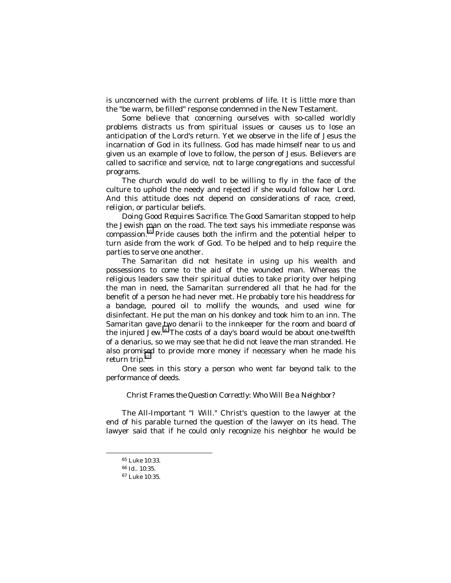is unconcerned with the current problems of life. It is little more than the "be warm, be filled" response condemned in the New Testament.

Some believe that concerning ourselves with so-called worldly problems distracts us from spiritual issues or causes us to lose an anticipation of the Lord's return. Yet we observe in the life of Jesus the incarnation of God in its fullness. God has made himself near to us and given us an example of love to follow, the person of Jesus. Believers are called to sacrifice and service, not to large congregations and successful programs.

The church would do well to be willing to fly in the face of the culture to uphold the needy and rejected if she would follow her Lord. And this attitude does not depend on considerations of race, creed, religion, or particular beliefs.

*Doing Good Requires Sacrifice*. The Good Samaritan stopped to help the Jewish man on the road. The text says his immediate response was compassion.<sup>65</sup> Pride causes both the infirm and the potential helper to turn aside from the work of God. To be helped and to help require the parties to serve one another.

The Samaritan did not hesitate in using up his wealth and possessions to come to the aid of the wounded man. Whereas the religious leaders saw their spiritual duties to take priority over helping the man in need, the Samaritan surrendered all that he had for the benefit of a person he had never met. He probably tore his headdress for a bandage, poured oil to mollify the wounds, and used wine for disinfectant. He put the man on his donkey and took him to an inn. The Samaritan gave two denarii to the innkeeper for the room and board of the injured Jew.<sup>66</sup> The costs of a day's board would be about one-twelfth of a denarius, so we may see that he did not leave the man stranded. He also promised to provide more money if necessary when he made his return trip. $67$ 

One sees in this story a person who went far beyond talk to the performance of deeds.

#### *Christ Frames the Question Correctly: Who Will Be a Neighbor?*

*The All-Important "I Will*." Christ's question to the lawyer at the end of his parable turned the question of the lawyer on its head. The lawyer said that if he could only recognize his neighbor he would be

<sup>65</sup> Luke 10:33.

<sup>66</sup> Id.. 10:35.

<sup>67</sup> Luke 10:35.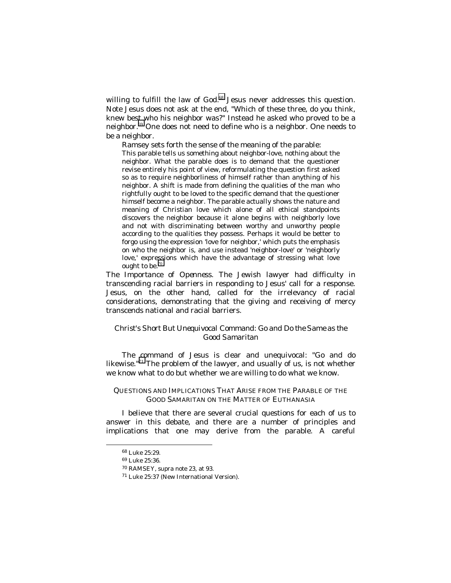willing to fulfill the law of God.<sup>68</sup> Jesus never addresses this question. Note Jesus does not ask at the end, "Which of these three, do you think, knew best who his neighbor was?" Instead he asked who proved to be a neighbor.<sup>69</sup> One does not need to define who is a neighbor. One needs to be a neighbor.

Ramsey sets forth the sense of the meaning of the parable:

This parable tells us something about neighbor-love, nothing about the neighbor. What the parable does is to demand that the questioner revise entirely his point of view, reformulating the question first asked so as to require neighborliness of himself rather than anything of his neighbor. A shift is made from defining the qualities of the man who rightfully ought to be loved to the specific demand that the questioner himself become a neighbor. The parable actually shows the nature and meaning of Christian love which alone of all ethical standpoints discovers the neighbor because it alone begins with neighborly love and not with discriminating between worthy and unworthy people according to the qualities they possess. Perhaps it would be better to forgo using the expression 'love for neighbor,' which puts the emphasis on who the neighbor is, and use instead 'neighbor-love' or 'neighborly love,' expressions which have the advantage of stressing what love ought to be.<sup>70</sup>

*The Importance of Openness*. The Jewish lawyer had difficulty in transcending racial barriers in responding to Jesus' call for a response. Jesus, on the other hand, called for the irrelevancy of racial considerations, demonstrating that the giving and receiving of mercy transcends national and racial barriers.

## *Christ's Short But Unequivocal Command: Go and Do the Same as the Good Samaritan*

The command of Jesus is clear and unequivocal: "Go and do likewise."<sup>71</sup> The problem of the lawyer, and usually of us, is not whether we know what to do but whether we are willing to do what we know.

### QUESTIONS AND IMPLICATIONS THAT ARISE FROM THE PARABLE OF THE GOOD SAMARITAN ON THE MATTER OF EUTHANASIA

I believe that there are several crucial questions for each of us to answer in this debate, and there are a number of principles and implications that one may derive from the parable. A careful

<sup>68</sup> Luke 25:29.

<sup>69</sup> Luke 25:36.

<sup>70</sup> RAMSEY, *supra* note 23, at 93.

<sup>71</sup> Luke 25:37 (New International Version).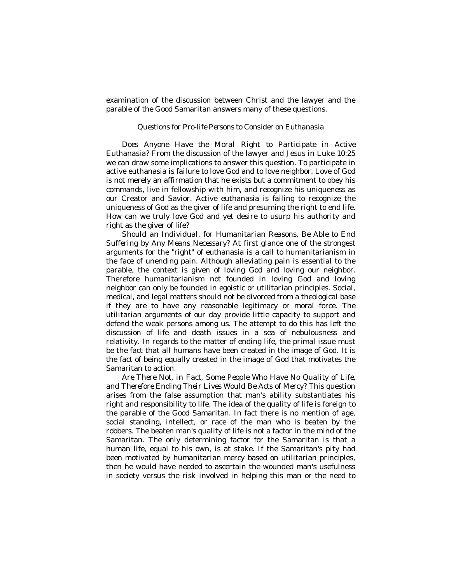examination of the discussion between Christ and the lawyer and the parable of the Good Samaritan answers many of these questions.

### *Questions for Pro-life Persons to Consider on Euthanasia*

*Does Anyone Have the Moral Right to Participate in Active Euthanasia?* From the discussion of the lawyer and Jesus in Luke 10:25 we can draw some implications to answer this question. To participate in active euthanasia is failure to love God and to love neighbor. Love of God is not merely an affirmation that he exists but a commitment to obey his commands, live in fellowship with him, and recognize his uniqueness as our Creator and Savior. Active euthanasia is failing to recognize the uniqueness of God as the giver of life and presuming the right to end life. How can we truly love God and yet desire to usurp his authority and right as the giver of life?

*Should an Individual, for Humanitarian Reasons, Be Able to End Suffering by Any Means Necessary?* At first glance one of the strongest arguments for the "right" of euthanasia is a call to humanitarianism in the face of unending pain. Although alleviating pain is essential to the parable, the context is given of loving God and loving our neighbor. Therefore humanitarianism not founded in loving God and loving neighbor can only be founded in egoistic or utilitarian principles. Social, medical, and legal matters should not be divorced from a theological base if they are to have any reasonable legitimacy or moral force. The utilitarian arguments of our day provide little capacity to support and defend the weak persons among us. The attempt to do this has left the discussion of life and death issues in a sea of nebulousness and relativity. In regards to the matter of ending life, the primal issue must be the fact that all humans have been created in the image of God. It is the fact of being equally created in the image of God that motivates the Samaritan to action.

*Are There Not, in Fact, Some People Who Have No Quality of Life, and Therefore Ending Their Lives Would Be Acts of Mercy?* This question arises from the false assumption that man's ability substantiates his right and responsibility to life. The idea of the quality of life is foreign to the parable of the Good Samaritan. In fact there is no mention of age, social standing, intellect, or race of the man who is beaten by the robbers. The beaten man's quality of life is not a factor in the mind of the Samaritan. The only determining factor for the Samaritan is that a human life, equal to his own, is at stake. If the Samaritan's pity had been motivated by humanitarian mercy based on utilitarian principles, then he would have needed to ascertain the wounded man's usefulness in society versus the risk involved in helping this man or the need to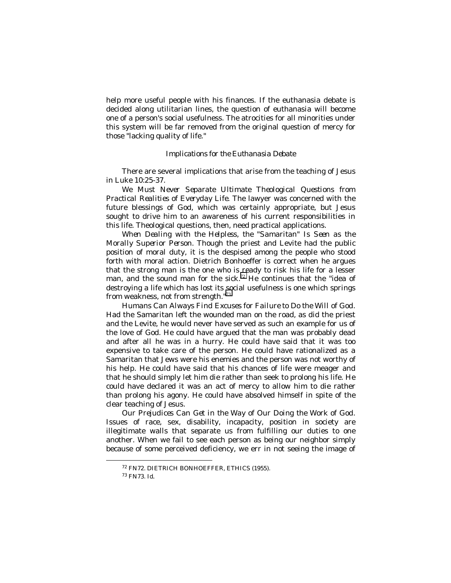help more useful people with his finances. If the euthanasia debate is decided along utilitarian lines, the question of euthanasia will become one of a person's social usefulness. The atrocities for all minorities under this system will be far removed from the original question of mercy for those "lacking quality of life."

### *Implications for the Euthanasia Debate*

There are several implications that arise from the teaching of Jesus in Luke 10:25-37.

*We Must Never Separate Ultimate Theological Questions from Practical Realities of Everyday Life*. The lawyer was concerned with the future blessings of God, which was certainly appropriate, but Jesus sought to drive him to an awareness of his current responsibilities in this life. Theological questions, then, need practical applications.

*When Dealing with the Helpless, the "Samaritan" Is Seen as the Morally Superior Person*. Though the priest and Levite had the public position of moral duty, it is the despised among the people who stood forth with moral action. Dietrich Bonhoeffer is correct when he argues that the strong man is the one who is ready to risk his life for a lesser man, and the sound man for the sick.<sup>72</sup> He continues that the "idea of destroying a life which has lost its social usefulness is one which springs from weakness, not from strength."<sup>73</sup>

*Humans Can Always Find Excuses for Failure to Do the Will of God*. Had the Samaritan left the wounded man on the road, as did the priest and the Levite, he would never have served as such an example for us of the love of God. He could have argued that the man was probably dead and after all he was in a hurry. He could have said that it was too expensive to take care of the person. He could have rationalized as a Samaritan that Jews were his enemies and the person was not worthy of his help. He could have said that his chances of life were meager and that he should simply let him die rather than seek to prolong his life. He could have declared it was an act of mercy to allow him to die rather than prolong his agony. He could have absolved himself in spite of the clear teaching of Jesus.

*Our Prejudices Can Get in the Way of Our Doing the Work of God*. Issues of race, sex, disability, incapacity, position in society are illegitimate walls that separate us from fulfilling our duties to one another. When we fail to see each person as being our neighbor simply because of some perceived deficiency, we err in not seeing the image of

<sup>72</sup> FN72. DIETRICH BONHOEFFER, ETHICS (1955).

<sup>73</sup> FN73. Id.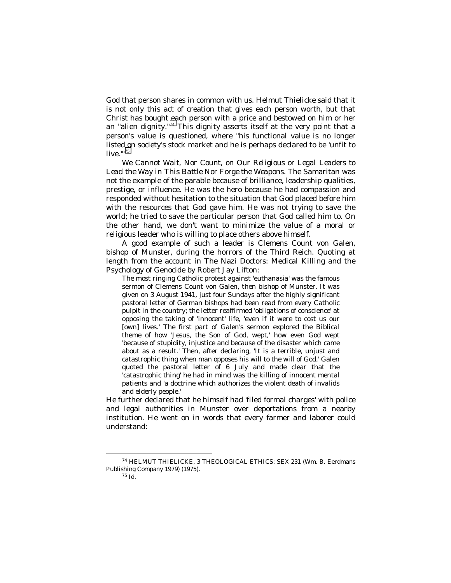God that person shares in common with us. Helmut Thielicke said that it is not only this act of creation that gives each person worth, but that Christ has bought each person with a price and bestowed on him or her an "alien dignity."<sup>74</sup> This dignity asserts itself at the very point that a person's value is questioned, where "his functional value is no longer listed on society's stock market and he is perhaps declared to be 'unfit to live. $11^{175}$ 

*We Cannot Wait, Nor Count, on Our Religious or Legal Leaders to Lead the Way in This Battle Nor Forge the Weapons*. The Samaritan was not the example of the parable because of brilliance, leadership qualities, prestige, or influence. He was the hero because he had compassion and responded without hesitation to the situation that God placed before him with the resources that God gave him. He was not trying to save the world; he tried to save the particular person that God called him to. On the other hand, we don't want to minimize the value of a moral or religious leader who is willing to place others above himself.

A good example of such a leader is Clemens Count von Galen, bishop of Munster, during the horrors of the Third Reich. Quoting at length from the account in The Nazi Doctors: Medical Killing and the Psychology of Genocide by Robert Jay Lifton:

The most ringing Catholic protest against 'euthanasia' was the famous sermon of Clemens Count von Galen, then bishop of Munster. It was given on 3 August 1941, just four Sundays after the highly significant pastoral letter of German bishops had been read from every Catholic pulpit in the country; the letter reaffirmed 'obligations of conscience' at opposing the taking of 'innocent' life, 'even if it were to cost us our [own] lives.' The first part of Galen's sermon explored the Biblical theme of how 'Jesus, the Son of God, wept,' how even God wept 'because of stupidity, injustice and because of the disaster which came about as a result.' Then, after declaring, 'It is a terrible, unjust and catastrophic thing when man opposes his will to the will of God,' Galen quoted the pastoral letter of 6 July and made clear that the 'catastrophic thing' he had in mind was the killing of innocent mental patients and 'a doctrine which authorizes the violent death of invalids and elderly people.'

He further declared that he himself had 'filed formal charges' with police and legal authorities in Munster over deportations from a nearby institution. He went on in words that every farmer and laborer could understand:

<sup>74</sup> HELMUT THIELICKE, 3 THEOLOGICAL ETHICS: SEX 231 (Wm. B. Eerdmans Publishing Company 1979) (1975).

<sup>75</sup> Id.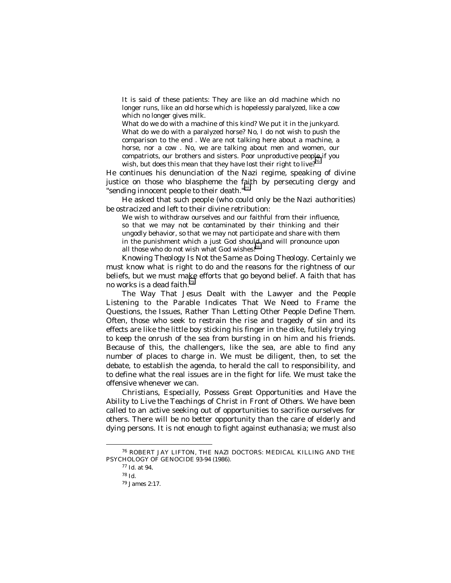It is said of these patients: They are like an old machine which no longer runs, like an old horse which is hopelessly paralyzed, like a cow which no longer gives milk.

What do we do with a machine of this kind? We put it in the junkyard. What do we do with a paralyzed horse? No, I do not wish to push the comparison to the end . We are not talking here about a machine, a horse, nor a cow . No, we are talking about men and women, our compatriots, our brothers and sisters. Poor unproductive people if you wish, but does this mean that they have lost their right to live?<sup>7</sup>

He continues his denunciation of the Nazi regime, speaking of divine justice on those who blaspheme the faith by persecuting clergy and "sending innocent people to their death."<sup>77</sup>

He asked that such people (who could only be the Nazi authorities) be ostracized and left to their divine retribution:

We wish to withdraw ourselves and our faithful from their influence, so that we may not be contaminated by their thinking and their ungodly behavior, so that we may not participate and share with them in the punishment which a just God should and will pronounce upon all those who do not wish what God wishes!<sup>78</sup>

*Knowing Theology Is Not the Same as Doing Theology*. Certainly we must know what is right to do and the reasons for the rightness of our beliefs, but we must make efforts that go beyond belief. A faith that has no works is a dead faith.<sup>79</sup>

The Way That Jesus Dealt with the Lawyer and the People Listening to the Parable Indicates That We Need to Frame the Questions, the Issues, Rather Than Letting Other People Define Them. Often, those who seek to restrain the rise and tragedy of sin and its effects are like the little boy sticking his finger in the dike, futilely trying to keep the onrush of the sea from bursting in on him and his friends. Because of this, the challengers, like the sea, are able to find any number of places to charge in. We must be diligent, then, to set the debate, to establish the agenda, to herald the call to responsibility, and to define what the real issues are in the fight for life. We must take the offensive whenever we can.

*Christians, Especially, Possess Great Opportunities and Have the Ability to Live the Teachings of Christ in Front of Others*. We have been called to an active seeking out of opportunities to sacrifice ourselves for others. There will be no better opportunity than the care of elderly and dying persons. It is not enough to fight against euthanasia; we must also

<sup>76</sup> ROBERT JAY LIFTON, THE NAZI DOCTORS: MEDICAL KILLING AND THE PSYCHOLOGY OF GENOCIDE 93-94 (1986).

<sup>77</sup> Id. at 94.

<sup>78</sup> Id.

<sup>79</sup> James 2:17.